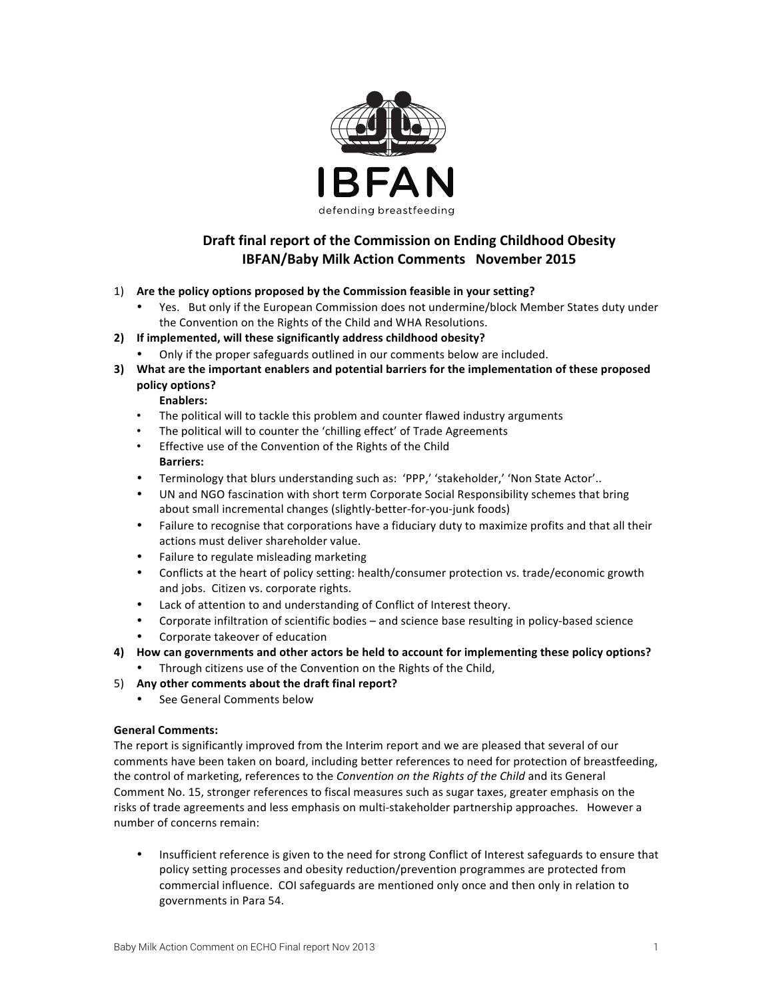

# **Draft final report of the Commission on Ending Childhood Obesity IBFAN/Baby Milk Action Comments November 2015**

## 1) Are the policy options proposed by the Commission feasible in your setting?

Yes. But only if the European Commission does not undermine/block Member States duty under the Convention on the Rights of the Child and WHA Resolutions.

## 2) If implemented, will these significantly address childhood obesity?

- Only if the proper safeguards outlined in our comments below are included.
- **3)** What are the important enablers and potential barriers for the implementation of these proposed **policy options?**

#### **Enablers:**

- The political will to tackle this problem and counter flawed industry arguments
- The political will to counter the 'chilling effect' of Trade Agreements
- Effective use of the Convention of the Rights of the Child **Barriers:**
- Terminology that blurs understanding such as: 'PPP,' 'stakeholder,' 'Non State Actor'..
- UN and NGO fascination with short term Corporate Social Responsibility schemes that bring about small incremental changes (slightly-better-for-you-junk foods)
- Failure to recognise that corporations have a fiduciary duty to maximize profits and that all their actions must deliver shareholder value.
- Failure to regulate misleading marketing
- Conflicts at the heart of policy setting: health/consumer protection vs. trade/economic growth and jobs. Citizen vs. corporate rights.
- Lack of attention to and understanding of Conflict of Interest theory.
- Corporate infiltration of scientific bodies and science base resulting in policy-based science
- Corporate takeover of education
- 4) How can governments and other actors be held to account for implementing these policy options?
	- Through citizens use of the Convention on the Rights of the Child,
- 5) Any other comments about the draft final report?
	- See General Comments below

#### **General Comments:**

The report is significantly improved from the Interim report and we are pleased that several of our comments have been taken on board, including better references to need for protection of breastfeeding, the control of marketing, references to the *Convention* on the Rights of the Child and its General Comment No. 15, stronger references to fiscal measures such as sugar taxes, greater emphasis on the risks of trade agreements and less emphasis on multi-stakeholder partnership approaches. However a number of concerns remain:

• Insufficient reference is given to the need for strong Conflict of Interest safeguards to ensure that policy setting processes and obesity reduction/prevention programmes are protected from commercial influence. COI safeguards are mentioned only once and then only in relation to governments in Para 54.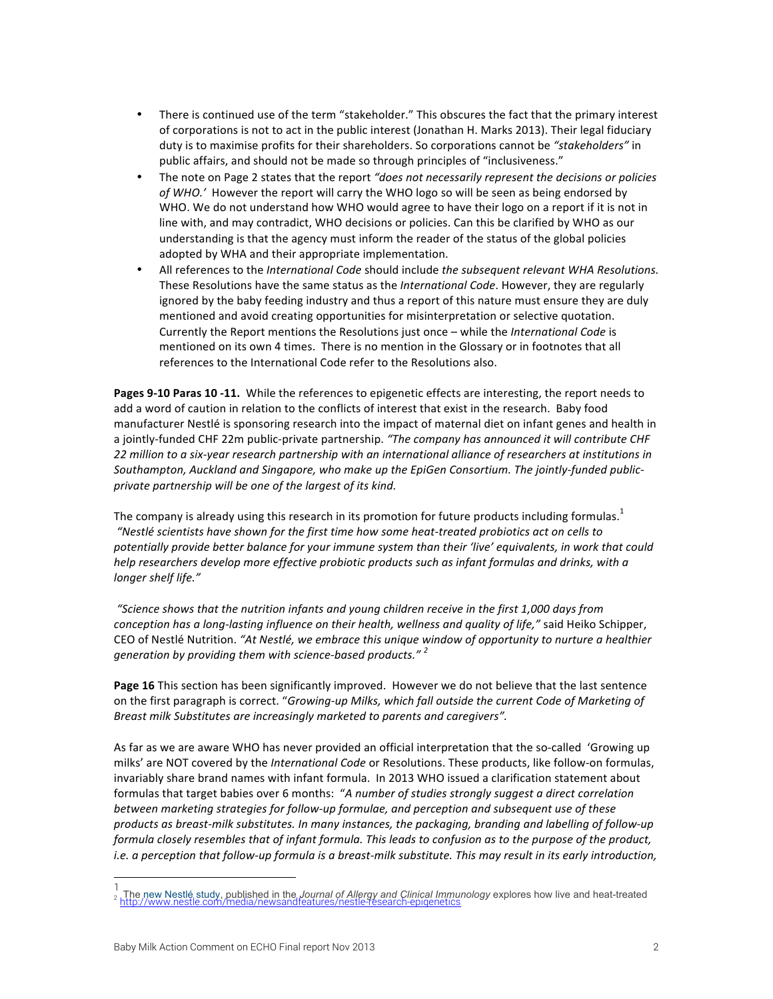- There is continued use of the term "stakeholder." This obscures the fact that the primary interest of corporations is not to act in the public interest (Jonathan H. Marks 2013). Their legal fiduciary duty is to maximise profits for their shareholders. So corporations cannot be "stakeholders" in public affairs, and should not be made so through principles of "inclusiveness."
- The note on Page 2 states that the report *"does not necessarily represent the decisions or policies* of WHO.<sup>'</sup> However the report will carry the WHO logo so will be seen as being endorsed by WHO. We do not understand how WHO would agree to have their logo on a report if it is not in line with, and may contradict, WHO decisions or policies. Can this be clarified by WHO as our understanding is that the agency must inform the reader of the status of the global policies adopted by WHA and their appropriate implementation.
- All references to the *International Code* should include *the subsequent relevant WHA Resolutions.* These Resolutions have the same status as the *International Code*. However, they are regularly ignored by the baby feeding industry and thus a report of this nature must ensure they are duly mentioned and avoid creating opportunities for misinterpretation or selective quotation. Currently the Report mentions the Resolutions just once – while the *International Code* is mentioned on its own 4 times. There is no mention in the Glossary or in footnotes that all references to the International Code refer to the Resolutions also.

**Pages 9-10 Paras 10 -11.** While the references to epigenetic effects are interesting, the report needs to add a word of caution in relation to the conflicts of interest that exist in the research. Baby food manufacturer Nestlé is sponsoring research into the impact of maternal diet on infant genes and health in a jointly-funded CHF 22m public-private partnership. "The company has announced it will contribute CHF 22 million to a six-year research partnership with an international alliance of researchers at institutions in Southampton, Auckland and Singapore, who make up the EpiGen Consortium. The jointly-funded publicprivate partnership will be one of the largest of its kind.

The company is already using this research in its promotion for future products including formulas.<sup>1</sup> *"Nestlé scientists have shown for the first time how some heat-treated probiotics act on cells to*  potentially provide better balance for your immune system than their 'live' equivalents, in work that could *help* researchers develop more effective probiotic products such as infant formulas and drinks, with a *longer shelf life."*

*"Science shows that the nutrition infants and young children receive in the first 1,000 days from conception has a long-lasting influence on their health, wellness and quality of life,"* said Heiko Schipper, CEO of Nestlé Nutrition. "At Nestlé, we embrace this unique window of opportunity to nurture a healthier generation by providing them with science-based products."<sup>2</sup>

**Page 16** This section has been significantly improved. However we do not believe that the last sentence on the first paragraph is correct. "*Growing-up Milks, which fall outside the current Code of Marketing of Breast milk Substitutes are increasingly marketed to parents and caregivers".* 

As far as we are aware WHO has never provided an official interpretation that the so-called 'Growing up milks' are NOT covered by the *International Code* or Resolutions. These products, like follow-on formulas, invariably share brand names with infant formula. In 2013 WHO issued a clarification statement about formulas that target babies over 6 months: "A number of studies strongly suggest a direct correlation between marketing strategies for follow-up formulae, and perception and subsequent use of these products as breast-milk substitutes. In many instances, the packaging, branding and labelling of follow-up *formula closely resembles that of infant formula. This leads to confusion as to the purpose of the product, i.e.* a perception that follow-up formula is a breast-milk substitute. This may result in its early introduction,

.

The new Nestlé study, published in the *Journal of Allergy and Clinical Immunology* explores how live and heat-treated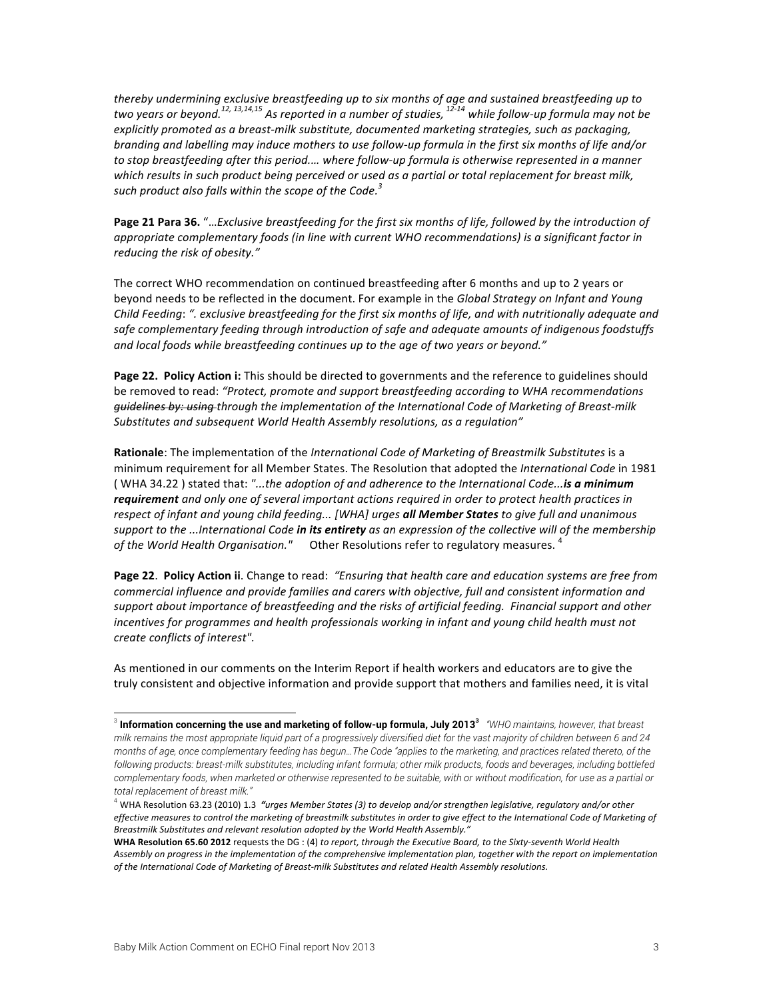thereby undermining exclusive breastfeeding up to six months of age and sustained breastfeeding up to two years or beyond.<sup>12, 13,14,15</sup> As reported in a number of studies, <sup>12-14</sup> while follow-up formula may not be explicitly promoted as a breast-milk substitute, documented marketing strategies, such as packaging, *branding* and *labelling may induce mothers to use follow-up formula in the first six months of life and/or* to stop breastfeeding after this period.… where follow-up formula is otherwise represented in a manner which results in such product being perceived or used as a partial or total replacement for breast milk, such product also falls within the scope of the Code.<sup>3</sup>

Page 21 Para 36. "...*Exclusive breastfeeding for the first six months of life, followed by the introduction of* appropriate complementary foods (in line with current WHO recommendations) is a significant factor in *reducing the risk of obesity."*

The correct WHO recommendation on continued breastfeeding after 6 months and up to 2 years or beyond needs to be reflected in the document. For example in the *Global Strategy on Infant and Young Child Feeding:* ". exclusive breastfeeding for the first six months of life, and with nutritionally adequate and safe complementary feeding through introduction of safe and adequate amounts of indigenous foodstuffs and local foods while breastfeeding continues up to the age of two years or beyond."

**Page 22. Policy Action i:** This should be directed to governments and the reference to guidelines should be removed to read: "Protect, promote and support breastfeeding according to WHA recommendations *guidelines by: using through the implementation of the International Code of Marketing of Breast-milk Substitutes and subsequent World Health Assembly resolutions, as a regulation"*

**Rationale**: The implementation of the *International Code of Marketing of Breastmilk Substitutes* is a minimum requirement for all Member States. The Resolution that adopted the *International Code* in 1981 (WHA 34.22) stated that: "...the adoption of and adherence to the International Code...**is a minimum** *requirement* and only one of several important actions required in order to protect health practices in respect of infant and young child feeding... [WHA] urges *all Member States* to give full and unanimous support to the ...International Code *in* its entirety as an expression of the collective will of the membership of the World Health Organisation." Other Resolutions refer to regulatory measures. <sup>4</sup>

**Page 22. Policy Action ii.** Change to read: *"Ensuring that health care and education systems are free from* commercial influence and provide families and carers with objective, full and consistent information and support about importance of breastfeeding and the risks of artificial feeding. Financial support and other *incentives* for programmes and health professionals working in infant and young child health must not *create conflicts of interest".*

As mentioned in our comments on the Interim Report if health workers and educators are to give the truly consistent and objective information and provide support that mothers and families need, it is vital

 <sup>3</sup> **Information concerning the use and marketing of follow-up formula, July 2013<sup>3</sup>** *"WHO maintains, however, that breast milk remains the most appropriate liquid part of a progressively diversified diet for the vast majority of children between 6 and 24 months of age, once complementary feeding has begun…The Code "applies to the marketing, and practices related thereto, of the following products: breast-milk substitutes, including infant formula; other milk products, foods and beverages, including bottlefed complementary foods, when marketed or otherwise represented to be suitable, with or without modification, for use as a partial or total replacement of breast milk."*

<sup>&</sup>lt;sup>4</sup> WHA Resolution 63.23 (2010) 1.3 *"urges Member States (3) to develop and/or strengthen legislative, regulatory and/or other* effective measures to control the marketing of breastmilk substitutes in order to give effect to the International Code of Marketing of Breastmilk Substitutes and relevant resolution adopted by the World Health Assembly."

WHA Resolution 65.60 2012 requests the DG : (4) to report, through the Executive Board, to the Sixty-seventh World Health Assembly on progress in the implementation of the comprehensive implementation plan, together with the report on implementation of the International Code of Marketing of Breast-milk Substitutes and related Health Assembly resolutions.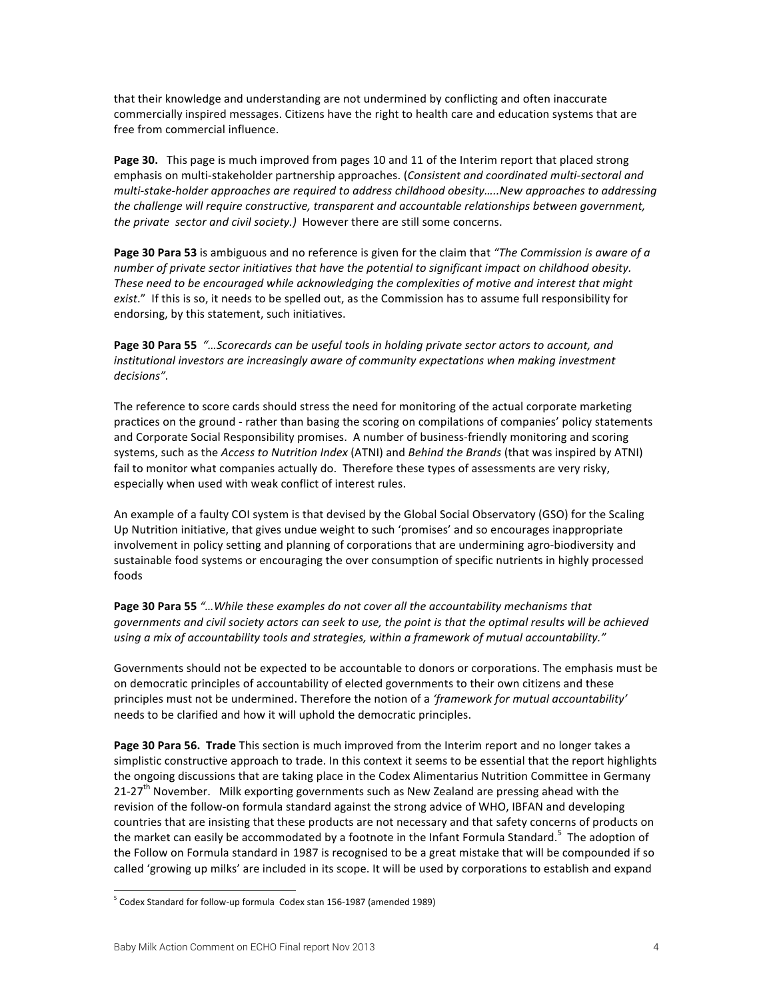that their knowledge and understanding are not undermined by conflicting and often inaccurate commercially inspired messages. Citizens have the right to health care and education systems that are free from commercial influence.

Page 30. This page is much improved from pages 10 and 11 of the Interim report that placed strong emphasis on multi-stakeholder partnership approaches. (*Consistent and coordinated multi-sectoral and* multi-stake-holder approaches are required to address childhood obesity.....New approaches to addressing the challenge will require constructive, transparent and accountable relationships between government, *the private sector and civil society.*) However there are still some concerns.

**Page 30 Para 53** is ambiguous and no reference is given for the claim that "The Commission is aware of a *number* of private sector initiatives that have the potential to significant impact on childhood obesity. These need to be encouraged while acknowledging the complexities of motive and interest that might *exist.*" If this is so, it needs to be spelled out, as the Commission has to assume full responsibility for endorsing, by this statement, such initiatives.

Page 30 Para 55 *"...Scorecards can be useful tools in holding private sector actors to account, and institutional investors are increasingly aware of community expectations when making investment decisions".*

The reference to score cards should stress the need for monitoring of the actual corporate marketing practices on the ground - rather than basing the scoring on compilations of companies' policy statements and Corporate Social Responsibility promises. A number of business-friendly monitoring and scoring systems, such as the *Access to Nutrition Index* (ATNI) and *Behind the Brands* (that was inspired by ATNI) fail to monitor what companies actually do. Therefore these types of assessments are very risky, especially when used with weak conflict of interest rules.

An example of a faulty COI system is that devised by the Global Social Observatory (GSO) for the Scaling Up Nutrition initiative, that gives undue weight to such 'promises' and so encourages inappropriate involvement in policy setting and planning of corporations that are undermining agro-biodiversity and sustainable food systems or encouraging the over consumption of specific nutrients in highly processed foods

**Page 30 Para 55**  $\degree$ ... While these examples do not cover all the accountability mechanisms that *governments and civil society actors can seek to use, the point is that the optimal results will be achieved* using a mix of accountability tools and strategies, within a framework of mutual accountability."

Governments should not be expected to be accountable to donors or corporations. The emphasis must be on democratic principles of accountability of elected governments to their own citizens and these principles must not be undermined. Therefore the notion of a 'framework for mutual accountability' needs to be clarified and how it will uphold the democratic principles.

**Page 30 Para 56. Trade** This section is much improved from the Interim report and no longer takes a simplistic constructive approach to trade. In this context it seems to be essential that the report highlights the ongoing discussions that are taking place in the Codex Alimentarius Nutrition Committee in Germany  $21-27<sup>th</sup>$  November. Milk exporting governments such as New Zealand are pressing ahead with the revision of the follow-on formula standard against the strong advice of WHO, IBFAN and developing countries that are insisting that these products are not necessary and that safety concerns of products on the market can easily be accommodated by a footnote in the Infant Formula Standard.<sup>5</sup> The adoption of the Follow on Formula standard in 1987 is recognised to be a great mistake that will be compounded if so called 'growing up milks' are included in its scope. It will be used by corporations to establish and expand

.

 $5$  Codex Standard for follow-up formula Codex stan 156-1987 (amended 1989)